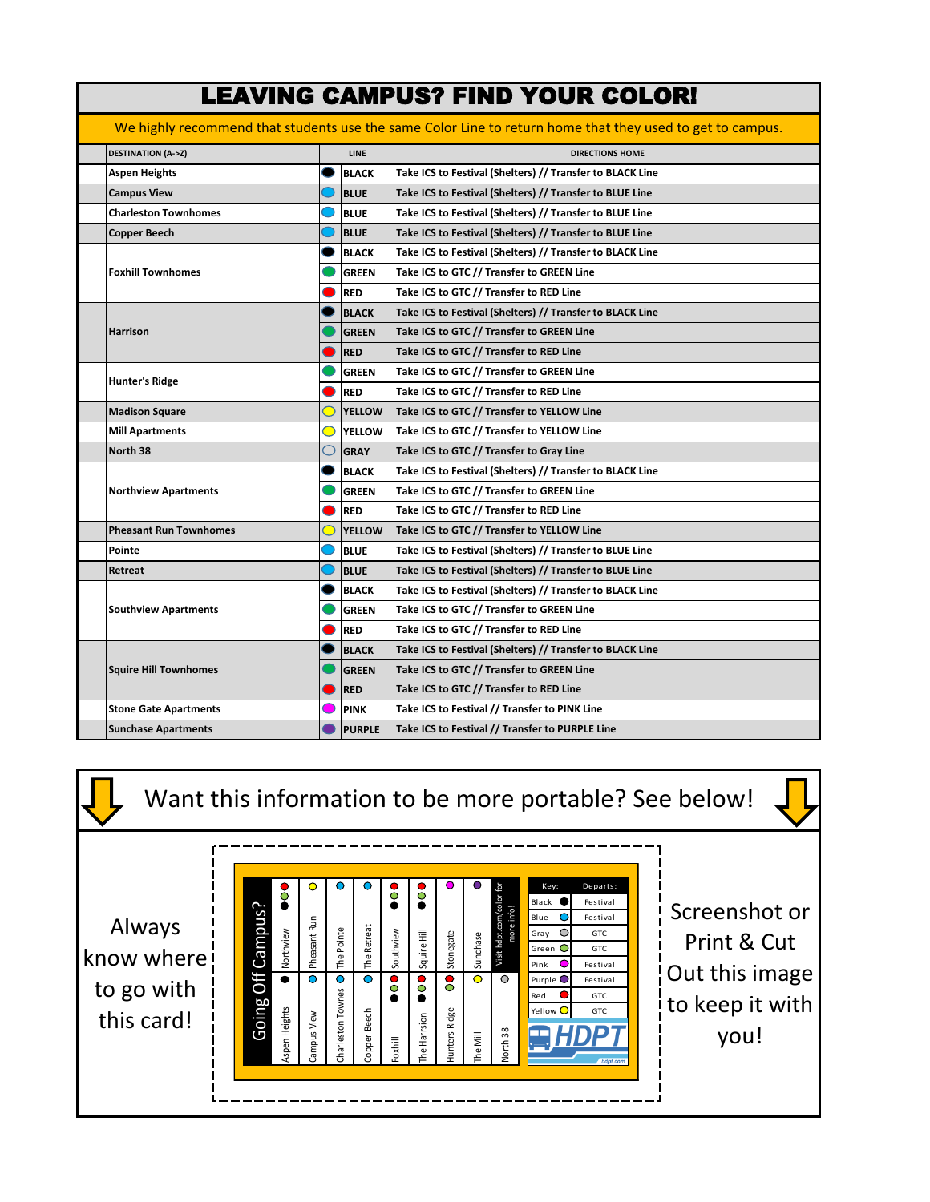|                 | <b>LEAVING CAMPUS? FIND YOUR COLOR!</b>                                                                   |               |               |                                                           |  |  |  |  |  |  |
|-----------------|-----------------------------------------------------------------------------------------------------------|---------------|---------------|-----------------------------------------------------------|--|--|--|--|--|--|
|                 | We highly recommend that students use the same Color Line to return home that they used to get to campus. |               |               |                                                           |  |  |  |  |  |  |
|                 | <b>DESTINATION (A-&gt;Z)</b>                                                                              |               | <b>LINE</b>   | <b>DIRECTIONS HOME</b>                                    |  |  |  |  |  |  |
|                 | <b>Aspen Heights</b>                                                                                      |               | <b>BLACK</b>  | Take ICS to Festival (Shelters) // Transfer to BLACK Line |  |  |  |  |  |  |
|                 | <b>Campus View</b>                                                                                        |               | <b>BLUE</b>   | Take ICS to Festival (Shelters) // Transfer to BLUE Line  |  |  |  |  |  |  |
|                 | <b>Charleston Townhomes</b>                                                                               |               | <b>BLUE</b>   | Take ICS to Festival (Shelters) // Transfer to BLUE Line  |  |  |  |  |  |  |
|                 | <b>Copper Beech</b>                                                                                       |               | <b>BLUE</b>   | Take ICS to Festival (Shelters) // Transfer to BLUE Line  |  |  |  |  |  |  |
|                 |                                                                                                           |               | <b>BLACK</b>  | Take ICS to Festival (Shelters) // Transfer to BLACK Line |  |  |  |  |  |  |
|                 | <b>Foxhill Townhomes</b>                                                                                  |               | <b>GREEN</b>  | Take ICS to GTC // Transfer to GREEN Line                 |  |  |  |  |  |  |
|                 |                                                                                                           |               | <b>RED</b>    | Take ICS to GTC // Transfer to RED Line                   |  |  |  |  |  |  |
|                 |                                                                                                           |               | <b>BLACK</b>  | Take ICS to Festival (Shelters) // Transfer to BLACK Line |  |  |  |  |  |  |
| <b>Harrison</b> |                                                                                                           |               | <b>GREEN</b>  | Take ICS to GTC // Transfer to GREEN Line                 |  |  |  |  |  |  |
|                 |                                                                                                           |               | <b>RED</b>    | Take ICS to GTC // Transfer to RED Line                   |  |  |  |  |  |  |
|                 |                                                                                                           |               | <b>GREEN</b>  | Take ICS to GTC // Transfer to GREEN Line                 |  |  |  |  |  |  |
|                 | <b>Hunter's Ridge</b>                                                                                     |               | <b>RED</b>    | Take ICS to GTC // Transfer to RED Line                   |  |  |  |  |  |  |
|                 | <b>Madison Square</b>                                                                                     | <b>YELLOW</b> |               | Take ICS to GTC // Transfer to YELLOW Line                |  |  |  |  |  |  |
|                 | <b>Mill Apartments</b><br>$\circ$                                                                         |               | <b>YELLOW</b> | Take ICS to GTC // Transfer to YELLOW Line                |  |  |  |  |  |  |
|                 | North 38<br>O                                                                                             |               | <b>GRAY</b>   | Take ICS to GTC // Transfer to Gray Line                  |  |  |  |  |  |  |
|                 |                                                                                                           |               | <b>BLACK</b>  | Take ICS to Festival (Shelters) // Transfer to BLACK Line |  |  |  |  |  |  |
|                 | <b>Northview Apartments</b>                                                                               |               | <b>GREEN</b>  | Take ICS to GTC // Transfer to GREEN Line                 |  |  |  |  |  |  |
|                 |                                                                                                           |               | <b>RED</b>    | Take ICS to GTC // Transfer to RED Line                   |  |  |  |  |  |  |
|                 | <b>Pheasant Run Townhomes</b>                                                                             |               | <b>YELLOW</b> | Take ICS to GTC // Transfer to YELLOW Line                |  |  |  |  |  |  |
| Pointe          |                                                                                                           |               | <b>BLUE</b>   | Take ICS to Festival (Shelters) // Transfer to BLUE Line  |  |  |  |  |  |  |
| Retreat         |                                                                                                           |               | <b>BLUE</b>   | Take ICS to Festival (Shelters) // Transfer to BLUE Line  |  |  |  |  |  |  |
|                 |                                                                                                           |               | <b>BLACK</b>  | Take ICS to Festival (Shelters) // Transfer to BLACK Line |  |  |  |  |  |  |
|                 | <b>Southview Apartments</b>                                                                               |               | <b>GREEN</b>  | Take ICS to GTC // Transfer to GREEN Line                 |  |  |  |  |  |  |
|                 |                                                                                                           |               | <b>RED</b>    | Take ICS to GTC // Transfer to RED Line                   |  |  |  |  |  |  |
|                 |                                                                                                           |               | <b>BLACK</b>  | Take ICS to Festival (Shelters) // Transfer to BLACK Line |  |  |  |  |  |  |
|                 | <b>Squire Hill Townhomes</b>                                                                              |               | <b>GREEN</b>  | Take ICS to GTC // Transfer to GREEN Line                 |  |  |  |  |  |  |
|                 |                                                                                                           |               | <b>RED</b>    | Take ICS to GTC // Transfer to RED Line                   |  |  |  |  |  |  |
|                 | <b>Stone Gate Apartments</b>                                                                              |               | <b>PINK</b>   | Take ICS to Festival // Transfer to PINK Line             |  |  |  |  |  |  |
|                 | <b>Sunchase Apartments</b>                                                                                |               | <b>PURPLE</b> | Take ICS to Festival // Transfer to PURPLE Line           |  |  |  |  |  |  |

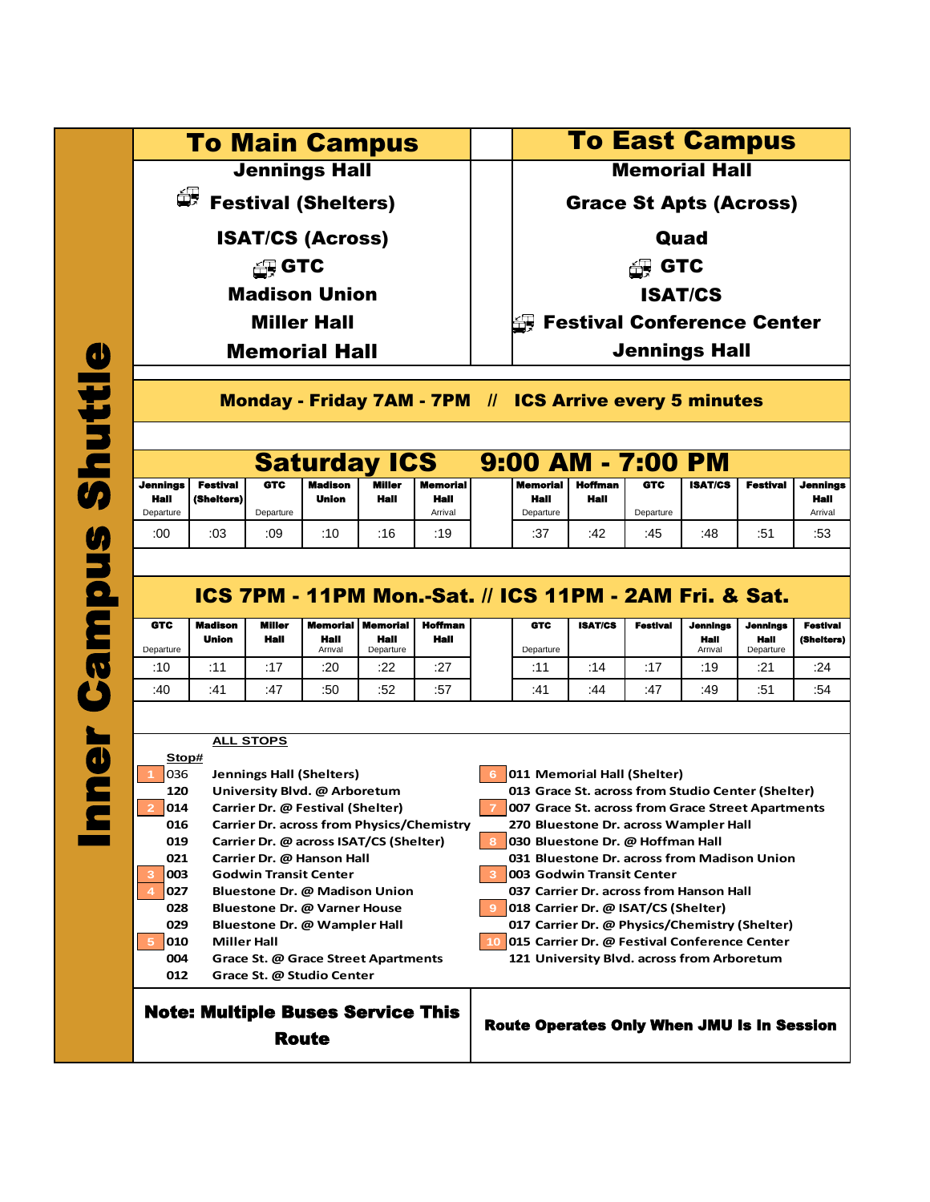To Main Campus | | To East Campus

ISAT/CS (Across) Quad

 $\bigoplus$  GTC  $\qquad \qquad \vert \qquad \vert$   $\qquad \bigoplus$  GTC

Madison Union ISAT/CS

Miller Hall

Memorial Hall  $\parallel$  Jennings Hall

**Jennings Hall Memorial Hall** 

 $\overline{\mathbb{F}}$  Festival (Shelters)  $\qquad \qquad \Big| \qquad \Big| \qquad$  Grace St Apts (Across)

Festival Conference Center

Monday - Friday 7AM - 7PM // ICS Arrive every 5 minutes

# Saturday ICS 9:00 AM - 7:00 PM

| <b>Jennings</b> | Festival   | <b>GTC</b> | <b>Madison</b> | <b>Miller</b> | Memorial I | <b>Memorial</b> | Hoffman | <b>GTC</b> | <b>ISAT/CS</b> | <b>Festival</b> | <b>Jennings</b> |
|-----------------|------------|------------|----------------|---------------|------------|-----------------|---------|------------|----------------|-----------------|-----------------|
| Hall            | (Shelters) |            | Union          | Hall          | Hall       | Hall            | Hall    |            |                |                 | Hall            |
| Departure       |            | Departure  |                |               | Arrival    | Departure       |         | Departure  |                |                 | Arrival         |
| :00             | :03        | :09        | :10            | :16           | :19        | :37             | :42     | :45        | :48            | ٠π٠<br>. ت      | :53             |

## ICS 7PM - 11PM Mon.-Sat. // ICS 11PM - 2AM Fri. & Sat.

| <b>GTC</b> | Madison             | <b>Miller</b> | <b>Memorial   Memorial</b> |                   | Hoffman | <b>GTC</b> | <b>ISAT/CS</b> | <b>Festival</b> | <b>Jennings</b> | <b>Jennings</b>   | <b>Festival</b> |
|------------|---------------------|---------------|----------------------------|-------------------|---------|------------|----------------|-----------------|-----------------|-------------------|-----------------|
| Departure  | Union               | Hall          | Hail<br>Arrival            | Hall<br>Departure | Hall    | Departure  |                |                 | Hall<br>Arrival | Hall<br>Departure | (Shelters)      |
| :10        | $\cdot$<br><b>A</b> | :17           | :20                        | :22               | :27     | .11        | :14            | .47             | :19             | :21               | :24             |
| :40        | :41                 | :47           | :50                        | :52               | :57     | :41        | :44            | :47             | :49             | :51               | :54             |

#### Note: Multiple Buses Service This **ALL STOPS Stop# 1** 036 **Jennings Hall (Shelters) 6 011 Memorial Hall (Shelter) 120 University Blvd. @ Arboretum 013 Grace St. across from Studio Center (Shelter) 2 014 Carrier Dr. @ Festival (Shelter) 7 007 Grace St. across from Grace Street Apartments 016 Carrier Dr. across from Physics/Chemistry 270 Bluestone Dr. across Wampler Hall 019 Carrier Dr. @ across ISAT/CS (Shelter) 8 030 Bluestone Dr. @ Hoffman Hall 021 Carrier Dr. @ Hanson Hall 031 Bluestone Dr. across from Madison Union 3 003 Godwin Transit Center 3 003 Godwin Transit Center 4 027 Bluestone Dr. @ Madison Union 037 Carrier Dr. across from Hanson Hall 028 Bluestone Dr. @ Varner House 9 018 Carrier Dr. @ ISAT/CS (Shelter) 029 Bluestone Dr. @ Wampler Hall 017 Carrier Dr. @ Physics/Chemistry (Shelter) 5 010 Miller Hall 10 015 Carrier Dr. @ Festival Conference Center 004 Grace St. @ Grace Street Apartments 121 University Blvd. across from Arboretum 012 Grace St. @ Studio Center**

Route

Route Operates Only When JMU Is In Session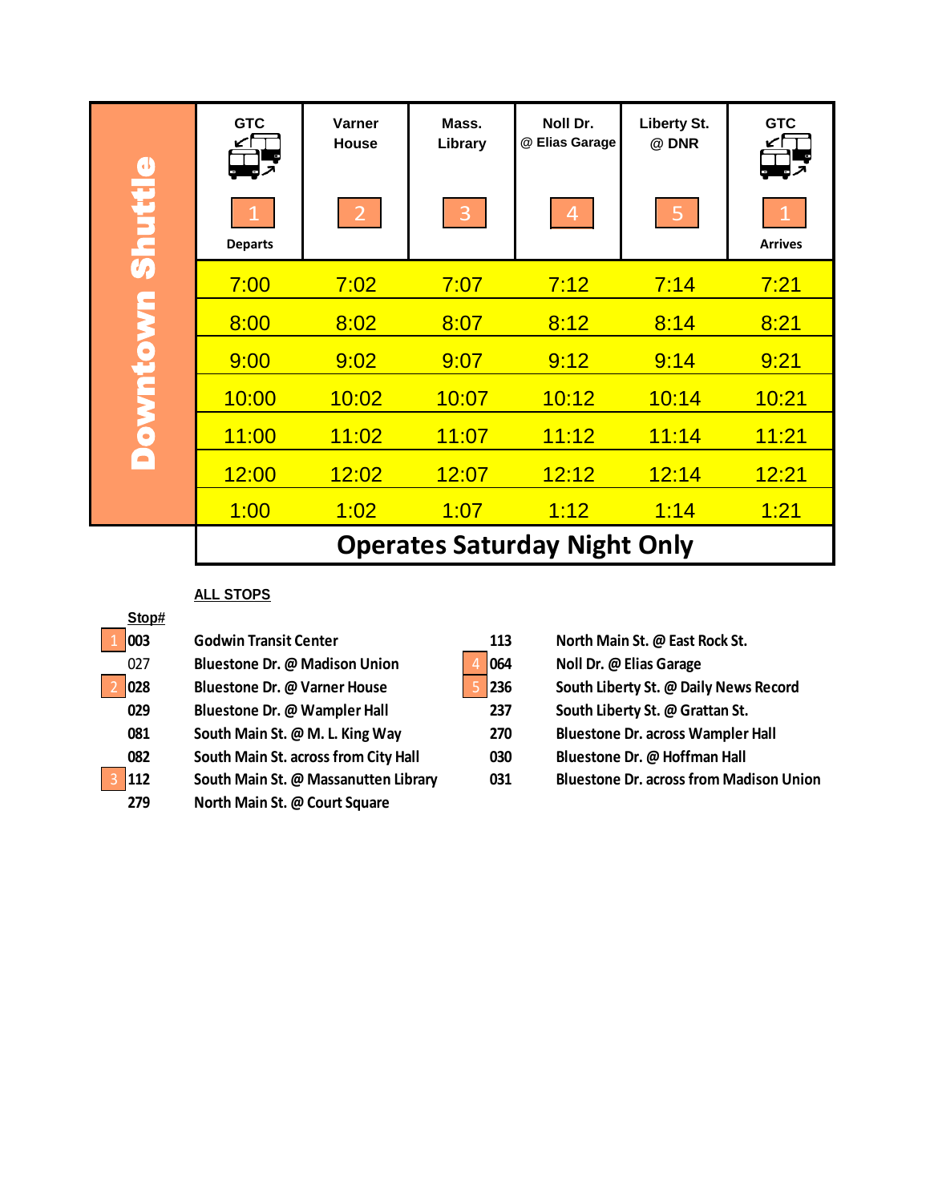|                | <b>GTC</b>                          | Varner<br>House | Mass.<br>Library | Noll Dr.<br>@ Elias Garage | <b>Liberty St.</b><br>@ DNR | <b>GTC</b>     |  |  |  |  |
|----------------|-------------------------------------|-----------------|------------------|----------------------------|-----------------------------|----------------|--|--|--|--|
| <b>Shuttle</b> | <b>Departs</b>                      | $\overline{2}$  | 3                | $\overline{4}$             | $\overline{5}$              | <b>Arrives</b> |  |  |  |  |
|                | 7:00                                | 7:02            | 7:07             | 7:12                       | 7:14                        | 7:21           |  |  |  |  |
|                | 8:00                                | 8:02            | 8:07             | 8:12                       | 8:14                        | 8:21           |  |  |  |  |
|                | 9:00                                | 9:02            | 9:07             | 9:12                       | 9:14                        | 9:21           |  |  |  |  |
| <b>UMOTUMO</b> | 10:00                               | 10:02           | 10:07            | 10:12                      | 10:14                       | 10:21          |  |  |  |  |
|                | 11:00                               | 11:02           | 11:07            | 11:12                      | 11:14                       | 11:21          |  |  |  |  |
| A              | 12:00                               | 12:02           | 12:07            | 12:12                      | 12:14                       | 12:21          |  |  |  |  |
|                | 1:00                                | <u> 1:02</u>    | 1:07             | 1:12                       | 1:14                        | <u> 1:21</u>   |  |  |  |  |
|                | <b>Operates Saturday Night Only</b> |                 |                  |                            |                             |                |  |  |  |  |

### **ALL STOPS**

| Stop# |                                      |     |                                                |
|-------|--------------------------------------|-----|------------------------------------------------|
| 003   | <b>Godwin Transit Center</b>         | 113 | North Main St. @ East Rock St.                 |
| 027   | <b>Bluestone Dr. @ Madison Union</b> | 064 | Noll Dr. @ Elias Garage                        |
| 028   | Bluestone Dr. @ Varner House         | 236 | South Liberty St. @ Daily News Record          |
| 029   | Bluestone Dr. @ Wampler Hall         | 237 | South Liberty St. @ Grattan St.                |
| 081   | South Main St. @ M. L. King Way      | 270 | <b>Bluestone Dr. across Wampler Hall</b>       |
| 082   | South Main St. across from City Hall | 030 | Bluestone Dr. @ Hoffman Hall                   |
| 112   | South Main St. @ Massanutten Library | 031 | <b>Bluestone Dr. across from Madison Union</b> |
| 279   | North Main St. @ Court Square        |     |                                                |

|  | 113 |
|--|-----|
|  | 064 |
|  | 236 |

- **1237 Blueston Dr. Example 237 Blue Bank Liberty St. @ Grattan St.**
- **081 Contains Marin 270 Bluestone Dr. across Wampler Hall**
- **082 South Main St. across from City Hall 030 Bluestone Dr. @ Hoffman Hall**